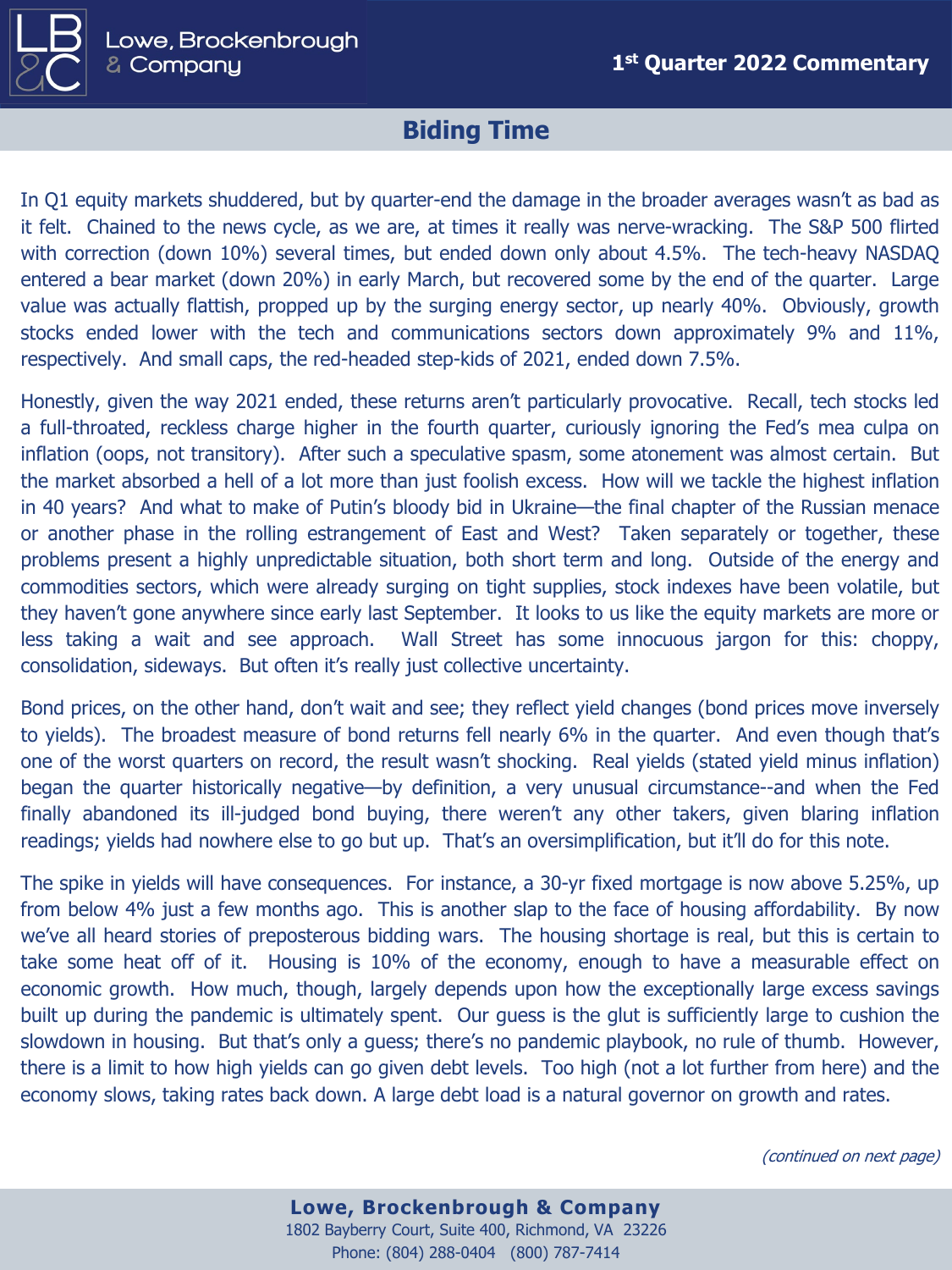

## **Biding Time**

In Q1 equity markets shuddered, but by quarter-end the damage in the broader averages wasn't as bad as it felt. Chained to the news cycle, as we are, at times it really was nerve-wracking. The S&P 500 flirted with correction (down 10%) several times, but ended down only about 4.5%. The tech-heavy NASDAQ entered a bear market (down 20%) in early March, but recovered some by the end of the quarter. Large value was actually flattish, propped up by the surging energy sector, up nearly 40%. Obviously, growth stocks ended lower with the tech and communications sectors down approximately 9% and 11%, respectively. And small caps, the red-headed step-kids of 2021, ended down 7.5%.

Honestly, given the way 2021 ended, these returns aren't particularly provocative. Recall, tech stocks led a full-throated, reckless charge higher in the fourth quarter, curiously ignoring the Fed's mea culpa on inflation (oops, not transitory). After such a speculative spasm, some atonement was almost certain. But the market absorbed a hell of a lot more than just foolish excess. How will we tackle the highest inflation in 40 years? And what to make of Putin's bloody bid in Ukraine—the final chapter of the Russian menace or another phase in the rolling estrangement of East and West? Taken separately or together, these problems present a highly unpredictable situation, both short term and long. Outside of the energy and commodities sectors, which were already surging on tight supplies, stock indexes have been volatile, but they haven't gone anywhere since early last September. It looks to us like the equity markets are more or less taking a wait and see approach. Wall Street has some innocuous jargon for this: choppy, consolidation, sideways. But often it's really just collective uncertainty.

Bond prices, on the other hand, don't wait and see; they reflect yield changes (bond prices move inversely to yields). The broadest measure of bond returns fell nearly 6% in the quarter. And even though that's one of the worst quarters on record, the result wasn't shocking. Real yields (stated yield minus inflation) began the quarter historically negative—by definition, a very unusual circumstance--and when the Fed finally abandoned its ill-judged bond buying, there weren't any other takers, given blaring inflation readings; yields had nowhere else to go but up. That's an oversimplification, but it'll do for this note.

The spike in yields will have consequences. For instance, a 30-yr fixed mortgage is now above 5.25%, up from below 4% just a few months ago. This is another slap to the face of housing affordability. By now we've all heard stories of preposterous bidding wars. The housing shortage is real, but this is certain to take some heat off of it. Housing is 10% of the economy, enough to have a measurable effect on economic growth. How much, though, largely depends upon how the exceptionally large excess savings built up during the pandemic is ultimately spent. Our guess is the glut is sufficiently large to cushion the slowdown in housing. But that's only a guess; there's no pandemic playbook, no rule of thumb. However, there is a limit to how high yields can go given debt levels. Too high (not a lot further from here) and the economy slows, taking rates back down. A large debt load is a natural governor on growth and rates.

(continued on next page)